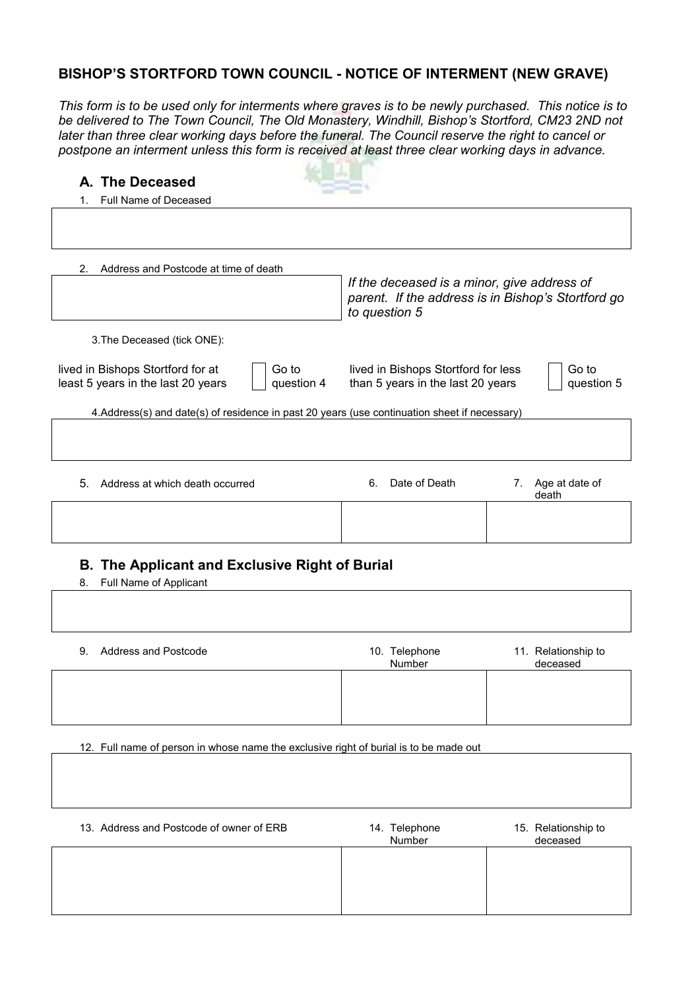## **BISHOP'S STORTFORD TOWN COUNCIL - NOTICE OF INTERMENT (NEW GRAVE)**

*This form is to be used only for interments where graves is to be newly purchased. This notice is to be delivered to The Town Council, The Old Monastery, Windhill, Bishop's Stortford, CM23 2ND not later than three clear working days before the funeral. The Council reserve the right to cancel or postpone an interment unless this form is received at least three clear working days in advance.* 

| A. The Deceased                                                                                |                                                                                                                    |
|------------------------------------------------------------------------------------------------|--------------------------------------------------------------------------------------------------------------------|
| Full Name of Deceased                                                                          |                                                                                                                    |
|                                                                                                |                                                                                                                    |
| Address and Postcode at time of death<br>2.                                                    |                                                                                                                    |
|                                                                                                | If the deceased is a minor, give address of<br>parent. If the address is in Bishop's Stortford go<br>to question 5 |
| 3. The Deceased (tick ONE):                                                                    |                                                                                                                    |
| lived in Bishops Stortford for at<br>Go to<br>least 5 years in the last 20 years<br>question 4 | Go to<br>lived in Bishops Stortford for less<br>than 5 years in the last 20 years<br>question 5                    |
| 4.Address(s) and date(s) of residence in past 20 years (use continuation sheet if necessary)   |                                                                                                                    |
|                                                                                                |                                                                                                                    |
| 5.<br>Address at which death occurred                                                          | Date of Death<br>6.<br>Age at date of<br>7.<br>death                                                               |

#### **B. The Applicant and Exclusive Right of Burial**

8. Full Name of Applicant

| 9. Address and Postcode | 10. Telephone<br>Number | 11. Relationship to<br>deceased |
|-------------------------|-------------------------|---------------------------------|
|                         |                         |                                 |

12. Full name of person in whose name the exclusive right of burial is to be made out

| 13. Address and Postcode of owner of ERB | 14. Telephone<br>Number | 15. Relationship to<br>deceased |
|------------------------------------------|-------------------------|---------------------------------|
|                                          |                         |                                 |
|                                          |                         |                                 |
|                                          |                         |                                 |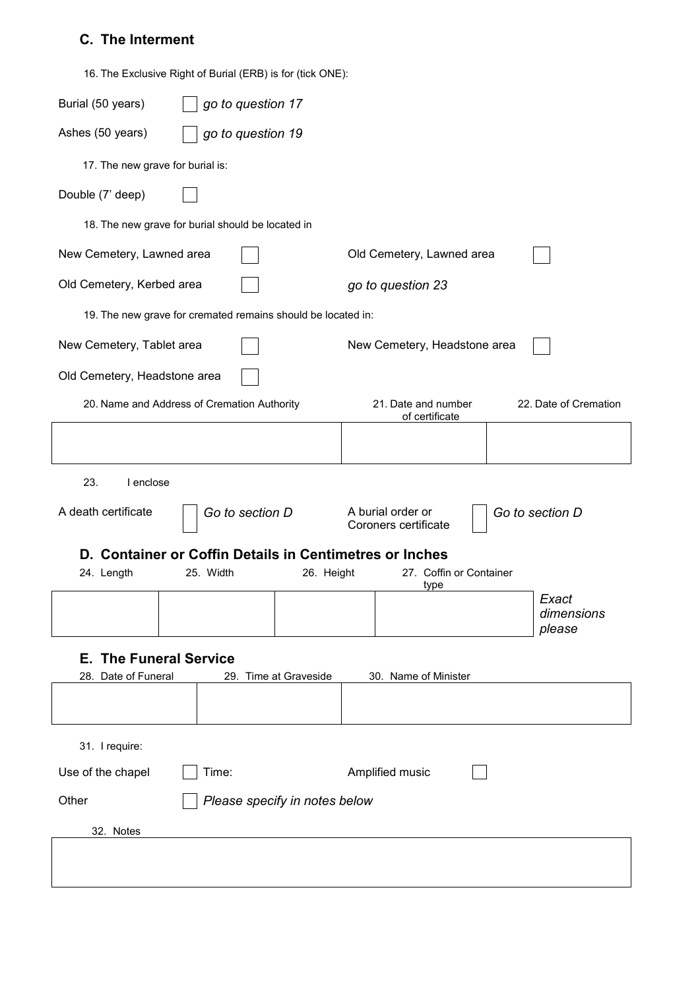# **C. The Interment**

| 16. The Exclusive Right of Burial (ERB) is for (tick ONE): |  |  |
|------------------------------------------------------------|--|--|
|                                                            |  |  |

| Burial (50 years)<br>go to question 17                       |                                                                |  |  |
|--------------------------------------------------------------|----------------------------------------------------------------|--|--|
| Ashes (50 years)<br>go to question 19                        |                                                                |  |  |
| 17. The new grave for burial is:                             |                                                                |  |  |
| Double (7' deep)                                             |                                                                |  |  |
| 18. The new grave for burial should be located in            |                                                                |  |  |
| New Cemetery, Lawned area                                    | Old Cemetery, Lawned area                                      |  |  |
| Old Cemetery, Kerbed area                                    | go to question 23                                              |  |  |
| 19. The new grave for cremated remains should be located in: |                                                                |  |  |
| New Cemetery, Tablet area                                    | New Cemetery, Headstone area                                   |  |  |
| Old Cemetery, Headstone area                                 |                                                                |  |  |
| 20. Name and Address of Cremation Authority                  | 21. Date and number<br>22. Date of Cremation<br>of certificate |  |  |
|                                                              |                                                                |  |  |
| 23.<br>I enclose                                             |                                                                |  |  |
| A death certificate<br>Go to section D                       | A burial order or<br>Go to section D<br>Coroners certificate   |  |  |
|                                                              | D. Container or Coffin Details in Centimetres or Inches        |  |  |
| 24. Length<br>25. Width<br>26. Height                        | 27. Coffin or Container<br>type                                |  |  |
|                                                              | Exact<br>dimensions<br>please                                  |  |  |
| <b>E. The Funeral Service</b>                                |                                                                |  |  |
| 28. Date of Funeral<br>29. Time at Graveside                 | 30. Name of Minister                                           |  |  |
|                                                              |                                                                |  |  |
| 31. I require:                                               |                                                                |  |  |
| Use of the chapel<br>Time:                                   | Amplified music                                                |  |  |
| Other<br>Please specify in notes below                       |                                                                |  |  |
| 32. Notes                                                    |                                                                |  |  |
|                                                              |                                                                |  |  |
|                                                              |                                                                |  |  |